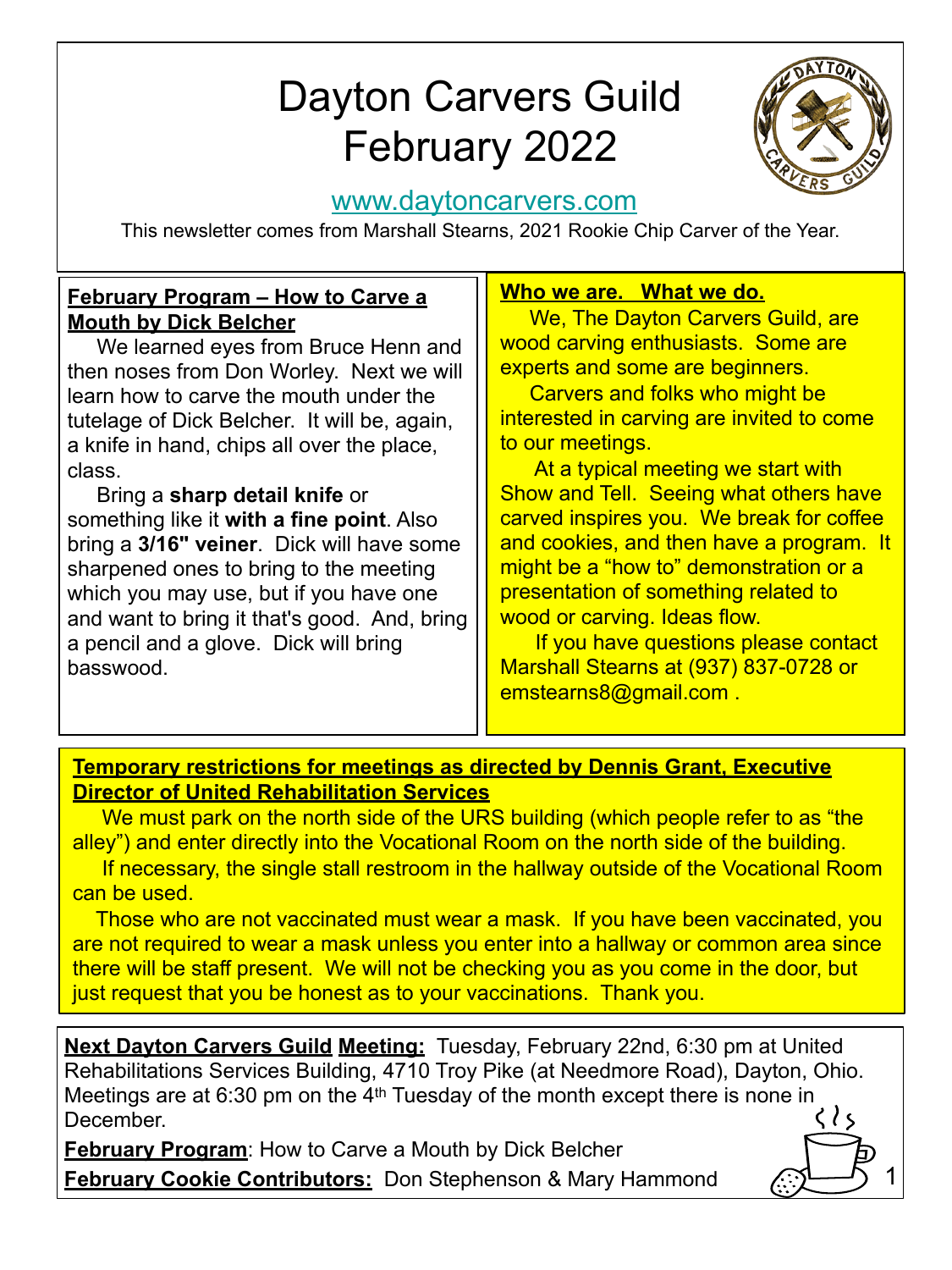# Dayton Carvers Guild February 2022



1

### [www.daytoncarvers.com](http://www.daytoncarvers.com/)

This newsletter comes from Marshall Stearns, 2021 Rookie Chip Carver of the Year.

#### **February Program – How to Carve a Mouth by Dick Belcher**

 We learned eyes from Bruce Henn and then noses from Don Worley. Next we will learn how to carve the mouth under the tutelage of Dick Belcher. It will be, again, a knife in hand, chips all over the place, class.

 Bring a **sharp detail knife** or something like it **with a fine point**. Also bring a **3/16" veiner**. Dick will have some sharpened ones to bring to the meeting which you may use, but if you have one and want to bring it that's good. And, bring a pencil and a glove. Dick will bring basswood.

#### **Who we are. What we do.**

We, The Dayton Carvers Guild, are wood carving enthusiasts. Some are experts and some are beginners.

 Carvers and folks who might be interested in carving are invited to come to our meetings.

 At a typical meeting we start with Show and Tell. Seeing what others have carved inspires you. We break for coffee and cookies, and then have a program. It might be a "how to" demonstration or a presentation of something related to wood or carving. Ideas flow.

 If you have questions please contact Marshall Stearns at (937) 837-0728 or emstearns8@gmail.com .

#### **Temporary restrictions for meetings as directed by Dennis Grant, Executive Director of United Rehabilitation Services**

 We must park on the north side of the URS building (which people refer to as "the alley") and enter directly into the Vocational Room on the north side of the building.

 If necessary, the single stall restroom in the hallway outside of the Vocational Room can be used.

 Those who are not vaccinated must wear a mask. If you have been vaccinated, you are not required to wear a mask unless you enter into a hallway or common area since there will be staff present. We will not be checking you as you come in the door, but just request that you be honest as to your vaccinations. Thank you.

**Next Dayton Carvers Guild Meeting:** Tuesday, February 22nd, 6:30 pm at United Rehabilitations Services Building, 4710 Troy Pike (at Needmore Road), Dayton, Ohio. Meetings are at 6:30 pm on the 4<sup>th</sup> Tuesday of the month except there is none in  $\langle \rangle$ December.

**February Program**: How to Carve a Mouth by Dick Belcher **February Cookie Contributors:** Don Stephenson & Mary Hammond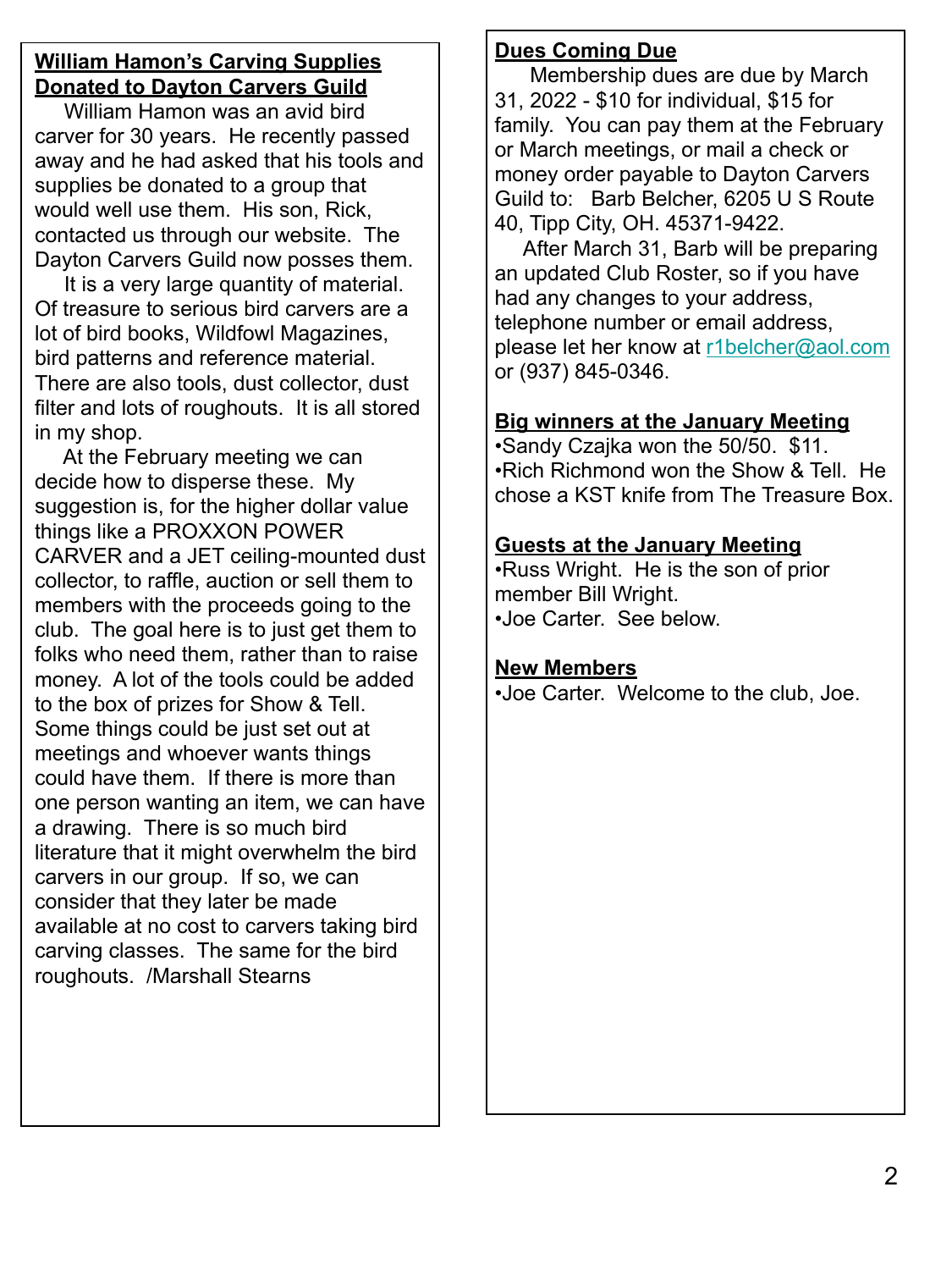#### **William Hamon's Carving Supplies Donated to Dayton Carvers Guild**

 William Hamon was an avid bird carver for 30 years. He recently passed away and he had asked that his tools and supplies be donated to a group that would well use them. His son, Rick, contacted us through our website. The Dayton Carvers Guild now posses them.

 It is a very large quantity of material. Of treasure to serious bird carvers are a lot of bird books, Wildfowl Magazines, bird patterns and reference material. There are also tools, dust collector, dust filter and lots of roughouts. It is all stored in my shop.

 At the February meeting we can decide how to disperse these. My suggestion is, for the higher dollar value things like a PROXXON POWER CARVER and a JET ceiling-mounted dust collector, to raffle, auction or sell them to members with the proceeds going to the club. The goal here is to just get them to folks who need them, rather than to raise money. A lot of the tools could be added to the box of prizes for Show & Tell. Some things could be just set out at meetings and whoever wants things could have them. If there is more than one person wanting an item, we can have a drawing. There is so much bird literature that it might overwhelm the bird carvers in our group. If so, we can consider that they later be made available at no cost to carvers taking bird carving classes. The same for the bird roughouts. /Marshall Stearns

# **Dues Coming Due**

 Membership dues are due by March 31, 2022 - \$10 for individual, \$15 for family. You can pay them at the February or March meetings, or mail a check or money order payable to Dayton Carvers Guild to: Barb Belcher, 6205 U S Route 40, Tipp City, OH. 45371-9422.

 After March 31, Barb will be preparing an updated Club Roster, so if you have had any changes to your address, telephone number or email address, please let her know at [r1belcher@aol.com](mailto:r1belcher@aol.com) or (937) 845-0346.

#### **Big winners at the January Meeting**

•Sandy Czajka won the 50/50. \$11. •Rich Richmond won the Show & Tell. He chose a KST knife from The Treasure Box.

#### **Guests at the January Meeting**

•Russ Wright. He is the son of prior member Bill Wright. •Joe Carter. See below.

## **New Members**

•Joe Carter. Welcome to the club, Joe.